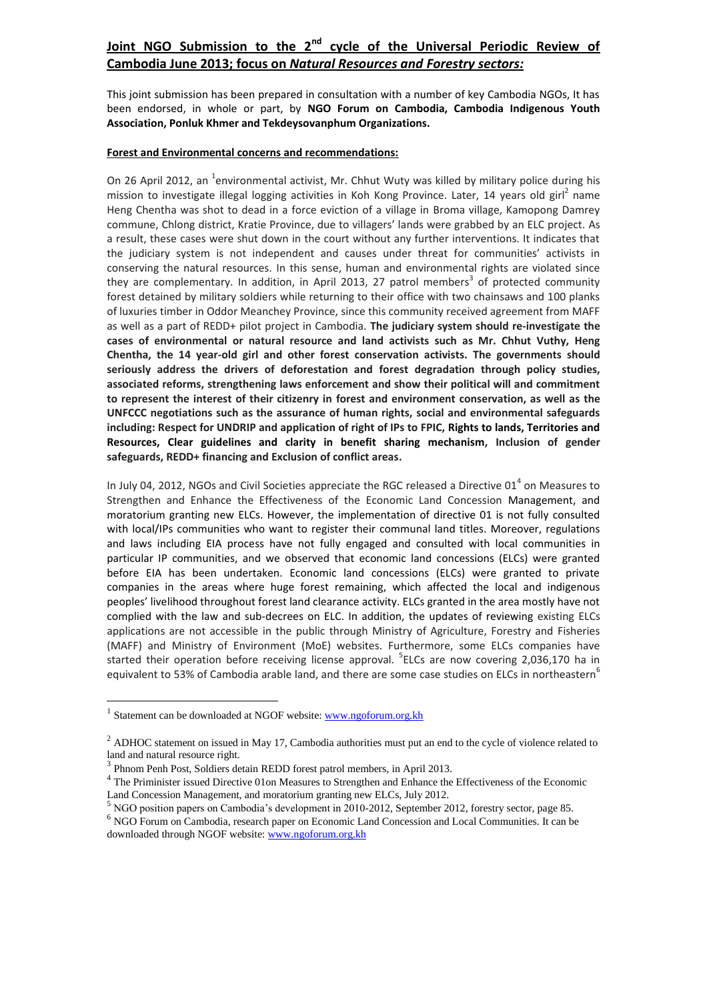## **Joint NGO Submission to the 2nd cycle of the Universal Periodic Review of Cambodia June 2013; focus on** *Natural Resources and Forestry sectors:*

This joint submission has been prepared in consultation with a number of key Cambodia NGOs, It has been endorsed, in whole or part, by **NGO Forum on Cambodia, Cambodia Indigenous Youth Association, Ponluk Khmer and Tekdeysovanphum Organizations.**

## **Forest and Environmental concerns and recommendations:**

On 26 April 2012, an <sup>1</sup>environmental activist, Mr. Chhut Wuty was killed by military police during his mission to investigate illegal logging activities in Koh Kong Province. Later, 14 years old girl<sup>2</sup> name Heng Chentha was shot to dead in a force eviction of a village in Broma village, Kamopong Damrey commune, Chlong district, Kratie Province, due to villagers' lands were grabbed by an ELC project. As a result, these cases were shut down in the court without any further interventions. It indicates that the judiciary system is not independent and causes under threat for communities' activists in conserving the natural resources. In this sense, human and environmental rights are violated since they are complementary. In addition, in April 2013, 27 patrol members<sup>3</sup> of protected community forest detained by military soldiers while returning to their office with two chainsaws and 100 planks of luxuries timber in Oddor Meanchey Province, since this community received agreement from MAFF as well as a part of REDD+ pilot project in Cambodia. **The judiciary system should re-investigate the cases of environmental or natural resource and land activists such as Mr. Chhut Vuthy, Heng Chentha, the 14 year-old girl and other forest conservation activists. The governments should seriously address the drivers of deforestation and forest degradation through policy studies, associated reforms, strengthening laws enforcement and show their political will and commitment to represent the interest of their citizenry in forest and environment conservation, as well as the UNFCCC negotiations such as the assurance of human rights, social and environmental safeguards including: Respect for UNDRIP and application of right of IPs to FPIC, Rights to lands, Territories and Resources, Clear guidelines and clarity in benefit sharing mechanism, Inclusion of gender safeguards, REDD+ financing and Exclusion of conflict areas.**

In July 04, 2012, NGOs and Civil Societies appreciate the RGC released a Directive 01<sup>4</sup> on Measures to Strengthen and Enhance the Effectiveness of the Economic Land Concession Management, and moratorium granting new ELCs. However, the implementation of directive 01 is not fully consulted with local/IPs communities who want to register their communal land titles. Moreover, regulations and laws including EIA process have not fully engaged and consulted with local communities in particular IP communities, and we observed that economic land concessions (ELCs) were granted before EIA has been undertaken. Economic land concessions (ELCs) were granted to private companies in the areas where huge forest remaining, which affected the local and indigenous peoples' livelihood throughout forest land clearance activity. ELCs granted in the area mostly have not complied with the law and sub-decrees on ELC. In addition, the updates of reviewing existing ELCs applications are not accessible in the public through Ministry of Agriculture, Forestry and Fisheries (MAFF) and Ministry of Environment (MoE) websites. Furthermore, some ELCs companies have started their operation before receiving license approval. <sup>5</sup>ELCs are now covering 2,036,170 ha in equivalent to 53% of Cambodia arable land, and there are some case studies on ELCs in northeastern<sup>6</sup>

 $\overline{a}$ 

<sup>&</sup>lt;sup>1</sup> Statement can be downloaded at NGOF website: [www.ngoforum.org.kh](http://www.ngoforum.org.kh/)

<sup>&</sup>lt;sup>2</sup> ADHOC statement on issued in May 17, Cambodia authorities must put an end to the cycle of violence related to land and natural resource right.

<sup>&</sup>lt;sup>3</sup> Phnom Penh Post, Soldiers detain REDD forest patrol members, in April 2013.

<sup>&</sup>lt;sup>4</sup> The Priminister issued Directive 01on Measures to Strengthen and Enhance the Effectiveness of the Economic Land Concession Management, and moratorium granting new ELCs, July 2012.

<sup>&</sup>lt;sup>5</sup> NGO position papers on Cambodia's development in 2010-2012, September 2012, forestry sector, page 85.

<sup>&</sup>lt;sup>6</sup> NGO Forum on Cambodia, research paper on Economic Land Concession and Local Communities. It can be downloaded through NGOF website[: www.ngoforum.org.kh](http://www.ngoforum.org.kh/)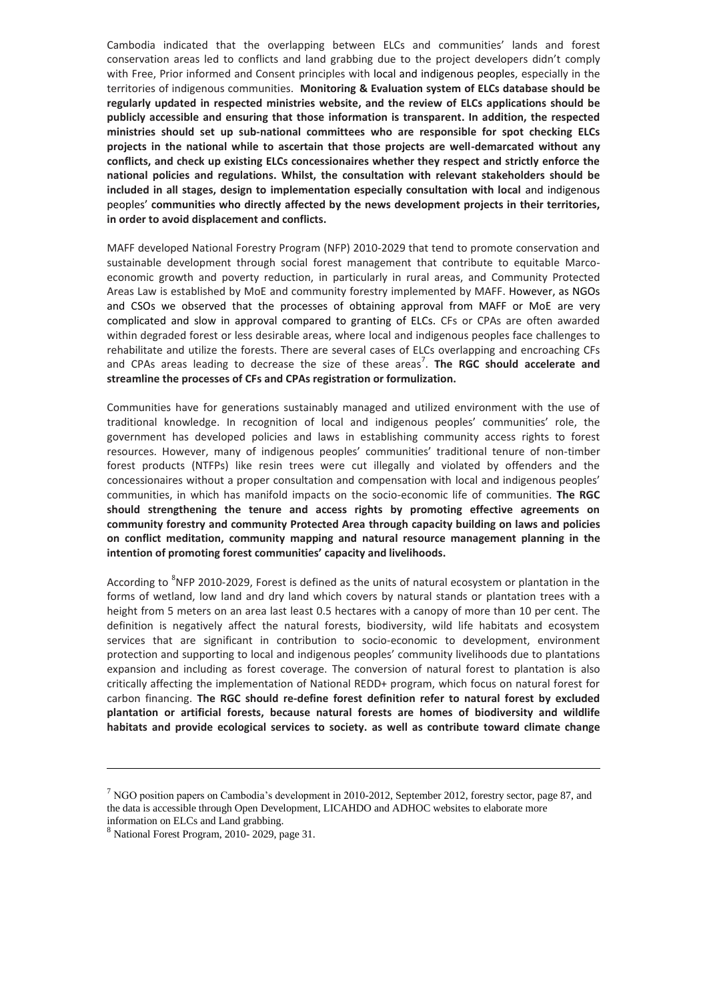Cambodia indicated that the overlapping between ELCs and communities' lands and forest conservation areas led to conflicts and land grabbing due to the project developers didn't comply with Free, Prior informed and Consent principles with local and indigenous peoples, especially in the territories of indigenous communities. **Monitoring & Evaluation system of ELCs database should be regularly updated in respected ministries website, and the review of ELCs applications should be publicly accessible and ensuring that those information is transparent. In addition, the respected ministries should set up sub-national committees who are responsible for spot checking ELCs projects in the national while to ascertain that those projects are well-demarcated without any conflicts, and check up existing ELCs concessionaires whether they respect and strictly enforce the national policies and regulations. Whilst, the consultation with relevant stakeholders should be included in all stages, design to implementation especially consultation with local** and indigenous peoples' **communities who directly affected by the news development projects in their territories, in order to avoid displacement and conflicts.**

MAFF developed National Forestry Program (NFP) 2010-2029 that tend to promote conservation and sustainable development through social forest management that contribute to equitable Marcoeconomic growth and poverty reduction, in particularly in rural areas, and Community Protected Areas Law is established by MoE and community forestry implemented by MAFF. However, as NGOs and CSOs we observed that the processes of obtaining approval from MAFF or MoE are very complicated and slow in approval compared to granting of ELCs. CFs or CPAs are often awarded within degraded forest or less desirable areas, where local and indigenous peoples face challenges to rehabilitate and utilize the forests. There are several cases of ELCs overlapping and encroaching CFs and CPAs areas leading to decrease the size of these areas<sup>7</sup>. **The RGC should accelerate and streamline the processes of CFs and CPAs registration or formulization.**

Communities have for generations sustainably managed and utilized environment with the use of traditional knowledge. In recognition of local and indigenous peoples' communities' role, the government has developed policies and laws in establishing community access rights to forest resources. However, many of indigenous peoples' communities' traditional tenure of non-timber forest products (NTFPs) like resin trees were cut illegally and violated by offenders and the concessionaires without a proper consultation and compensation with local and indigenous peoples' communities, in which has manifold impacts on the socio-economic life of communities. **The RGC should strengthening the tenure and access rights by promoting effective agreements on community forestry and community Protected Area through capacity building on laws and policies on conflict meditation, community mapping and natural resource management planning in the intention of promoting forest communities' capacity and livelihoods.** 

According to <sup>8</sup>NFP 2010-2029, Forest is defined as the units of natural ecosystem or plantation in the forms of wetland, low land and dry land which covers by natural stands or plantation trees with a height from 5 meters on an area last least 0.5 hectares with a canopy of more than 10 per cent. The definition is negatively affect the natural forests, biodiversity, wild life habitats and ecosystem services that are significant in contribution to socio-economic to development, environment protection and supporting to local and indigenous peoples' community livelihoods due to plantations expansion and including as forest coverage. The conversion of natural forest to plantation is also critically affecting the implementation of National REDD+ program, which focus on natural forest for carbon financing. **The RGC should re-define forest definition refer to natural forest by excluded plantation or artificial forests, because natural forests are homes of biodiversity and wildlife habitats and provide ecological services to society. as well as contribute toward climate change** 

 $\overline{a}$ 

 $<sup>7</sup>$  NGO position papers on Cambodia's development in 2010-2012, September 2012, forestry sector, page 87, and</sup> the data is accessible through Open Development, LICAHDO and ADHOC websites to elaborate more information on ELCs and Land grabbing.

<sup>8</sup> National Forest Program, 2010- 2029, page 31.